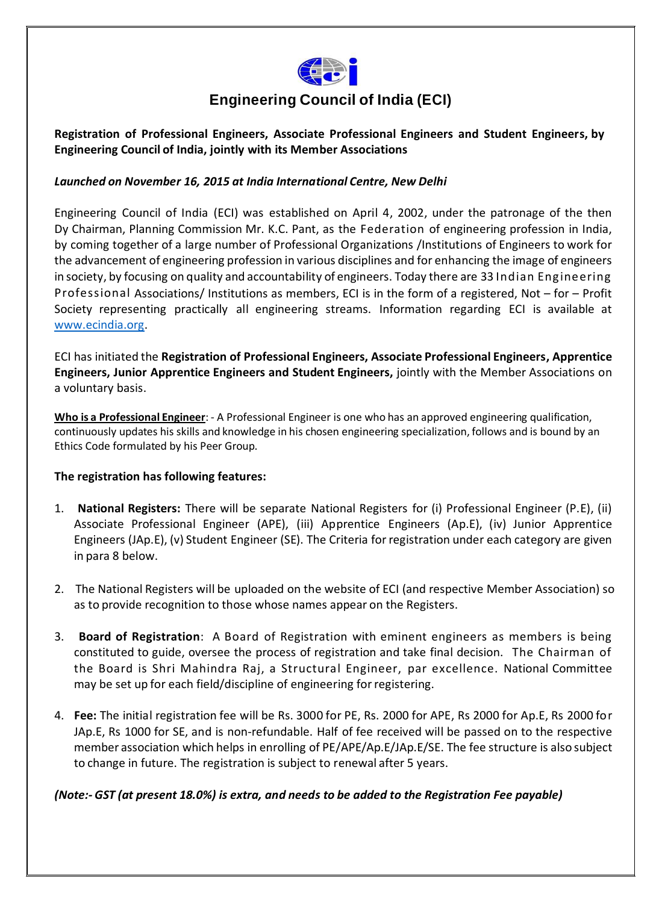

# **Engineering Council of India (ECI)**

**Registration of Professional Engineers, Associate Professional Engineers and Student Engineers, by Engineering Council of India, jointly with its Member Associations**

# *Launched on November 16, 2015 at India International Centre, New Delhi*

Engineering Council of India (ECI) was established on April 4, 2002, under the patronage of the then Dy Chairman, Planning Commission Mr. K.C. Pant, as the Federation of engineering profession in India, by coming together of a large number of Professional Organizations /Institutions of Engineers to work for the advancement of engineering profession in various disciplines and for enhancing the image of engineers in society, by focusing on quality and accountability of engineers. Today there are 33 Indian Engineering Professional Associations/ Institutions as members, ECI is in the form of a registered, Not – for – Profit Society representing practically all engineering streams. Information regarding ECI is available at [www.ecindia.org.](http://www.ecindia.org/)

ECI has initiated the **Registration of Professional Engineers, Associate Professional Engineers, Apprentice Engineers, Junior Apprentice Engineers and Student Engineers,** jointly with the Member Associations on a voluntary basis.

**Who is a Professional Engineer**: - A Professional Engineer is one who has an approved engineering qualification, continuously updates his skills and knowledge in his chosen engineering specialization, follows and is bound by an Ethics Code formulated by his Peer Group.

# **The registration has following features:**

- 1. **National Registers:** There will be separate National Registers for (i) Professional Engineer (P.E), (ii) Associate Professional Engineer (APE), (iii) Apprentice Engineers (Ap.E), (iv) Junior Apprentice Engineers (JAp.E), (v) Student Engineer (SE). The Criteria forregistration under each category are given in para 8 below.
- 2. The National Registers will be uploaded on the website of ECI (and respective Member Association) so as to provide recognition to those whose names appear on the Registers.
- 3. **Board of Registration**: A Board of Registration with eminent engineers as members is being constituted to guide, oversee the process of registration and take final decision. The Chairman of the Board is Shri Mahindra Raj, a Structural Engineer, par excellence. National Committee may be set up for each field/discipline of engineering forregistering.
- 4. **Fee:** The initial registration fee will be Rs. 3000 for PE, Rs. 2000 for APE, Rs 2000 for Ap.E, Rs 2000 for JAp.E, Rs 1000 for SE, and is non-refundable. Half of fee received will be passed on to the respective member association which helps in enrolling of PE/APE/Ap.E/JAp.E/SE. The fee structure is also subject to change in future. The registration is subject to renewal after 5 years.

# *(Note:- GST (at present 18.0%) is extra, and needs to be added to the Registration Fee payable)*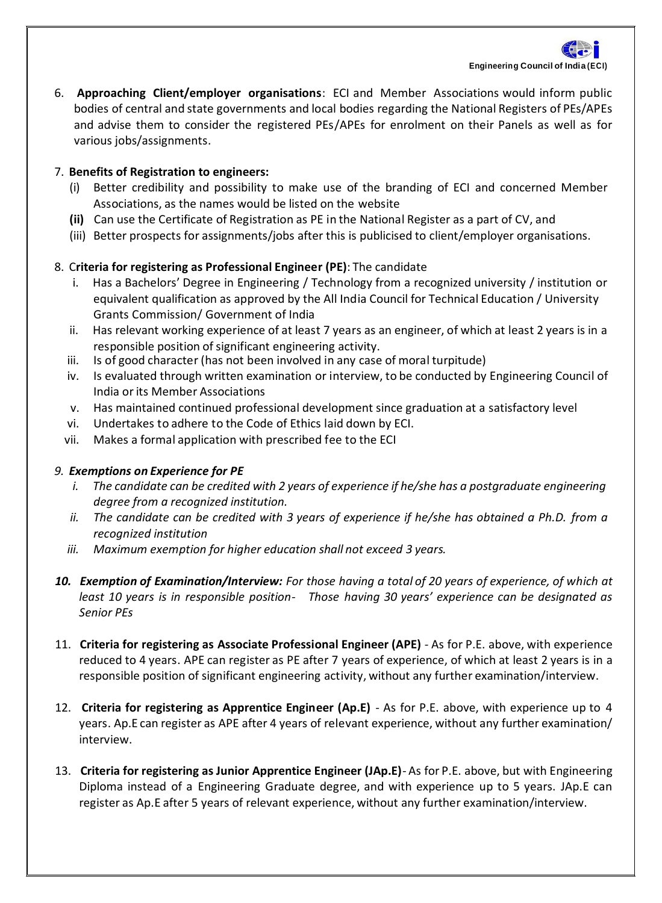

6. **Approaching Client/employer organisations**: ECI and Member Associations would inform public bodies of central and state governments and local bodies regarding the National Registers of PEs/APEs and advise them to consider the registered PEs/APEs for enrolment on their Panels as well as for various jobs/assignments.

# 7. **Benefits of Registration to engineers:**

- (i) Better credibility and possibility to make use of the branding of ECI and concerned Member Associations, as the names would be listed on the website
- **(ii)** Can use the Certificate of Registration as PE in the National Register as a part of CV, and
- (iii) Better prospects for assignments/jobs after this is publicised to client/employer organisations.

# 8. C**riteria for registering as Professional Engineer (PE)**: The candidate

- i. Has a Bachelors' Degree in Engineering / Technology from a recognized university / institution or equivalent qualification as approved by the All India Council for Technical Education / University Grants Commission/ Government of India
- ii. Has relevant working experience of at least 7 years as an engineer, of which at least 2 years is in a responsible position of significant engineering activity.
- iii. Is of good character (has not been involved in any case of moral turpitude)
- iv. Is evaluated through written examination or interview, to be conducted by Engineering Council of India orits Member Associations
- v. Has maintained continued professional development since graduation at a satisfactory level
- vi. Undertakes to adhere to the Code of Ethics laid down by ECI.
- vii. Makes a formal application with prescribed fee to the ECI

#### *9. Exemptions on Experience for PE*

- *i. The candidate can be credited with 2 years of experience if he/she has a postgraduate engineering degree from a recognized institution.*
- *ii. The candidate can be credited with 3 years of experience if he/she has obtained a Ph.D. from a recognized institution*
- *iii. Maximum exemption for higher education shall not exceed 3 years.*
- *10. Exemption of Examination/Interview: For those having a total of 20 years of experience, of which at least 10 years is in responsible position- Those having 30 years' experience can be designated as Senior PEs*
- 11. **Criteria for registering as Associate Professional Engineer (APE)** *-* As for P.E. above, with experience reduced to 4 years. APE can register as PE after 7 years of experience, of which at least 2 years is in a responsible position of significant engineering activity, without any further examination/interview.
- 12. **Criteria for registering as Apprentice Engineer (Ap.E)** *-* As for P.E. above, with experience up to 4 years. Ap.E can register as APE after 4 years of relevant experience, without any further examination/ interview.
- 13. **Criteria for registering as Junior Apprentice Engineer (JAp.E)***-* As for P.E. above, but with Engineering Diploma instead of a Engineering Graduate degree, and with experience up to 5 years. JAp.E can register as Ap.E after 5 years of relevant experience, without any further examination/interview.